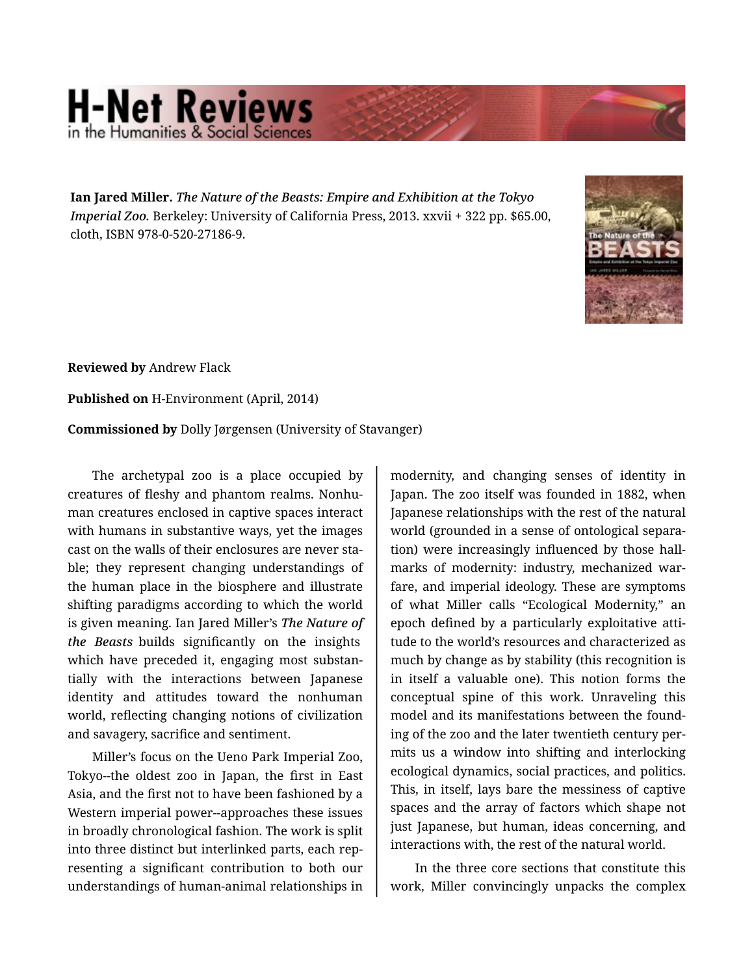## **H-Net Reviews** in the Humanities & Social S

**Ian Jared Miller.** *The Nature of the Beasts: Empire and Exhibition at the Tokyo Imperial Zoo.* Berkeley: University of California Press, 2013. xxvii + 322 pp. \$65.00, cloth, ISBN 978-0-520-27186-9.



**Reviewed by** Andrew Flack

**Published on** H-Environment (April, 2014)

**Commissioned by** Dolly Jørgensen (University of Stavanger)

The archetypal zoo is a place occupied by creatures of fleshy and phantom realms. Nonhu‐ man creatures enclosed in captive spaces interact with humans in substantive ways, yet the images cast on the walls of their enclosures are never sta‐ ble; they represent changing understandings of the human place in the biosphere and illustrate shifting paradigms according to which the world is given meaning. Ian Jared Miller's *The Nature of the Beasts* builds significantly on the insights which have preceded it, engaging most substan‐ tially with the interactions between Japanese identity and attitudes toward the nonhuman world, reflecting changing notions of civilization and savagery, sacrifice and sentiment.

Miller's focus on the Ueno Park Imperial Zoo, Tokyo--the oldest zoo in Japan, the first in East Asia, and the first not to have been fashioned by a Western imperial power--approaches these issues in broadly chronological fashion. The work is split into three distinct but interlinked parts, each rep‐ resenting a significant contribution to both our understandings of human-animal relationships in

modernity, and changing senses of identity in Japan. The zoo itself was founded in 1882, when Japanese relationships with the rest of the natural world (grounded in a sense of ontological separa‐ tion) were increasingly influenced by those hall‐ marks of modernity: industry, mechanized war‐ fare, and imperial ideology. These are symptoms of what Miller calls "Ecological Modernity," an epoch defined by a particularly exploitative atti‐ tude to the world's resources and characterized as much by change as by stability (this recognition is in itself a valuable one). This notion forms the conceptual spine of this work. Unraveling this model and its manifestations between the found‐ ing of the zoo and the later twentieth century per‐ mits us a window into shifting and interlocking ecological dynamics, social practices, and politics. This, in itself, lays bare the messiness of captive spaces and the array of factors which shape not just Japanese, but human, ideas concerning, and interactions with, the rest of the natural world.

In the three core sections that constitute this work, Miller convincingly unpacks the complex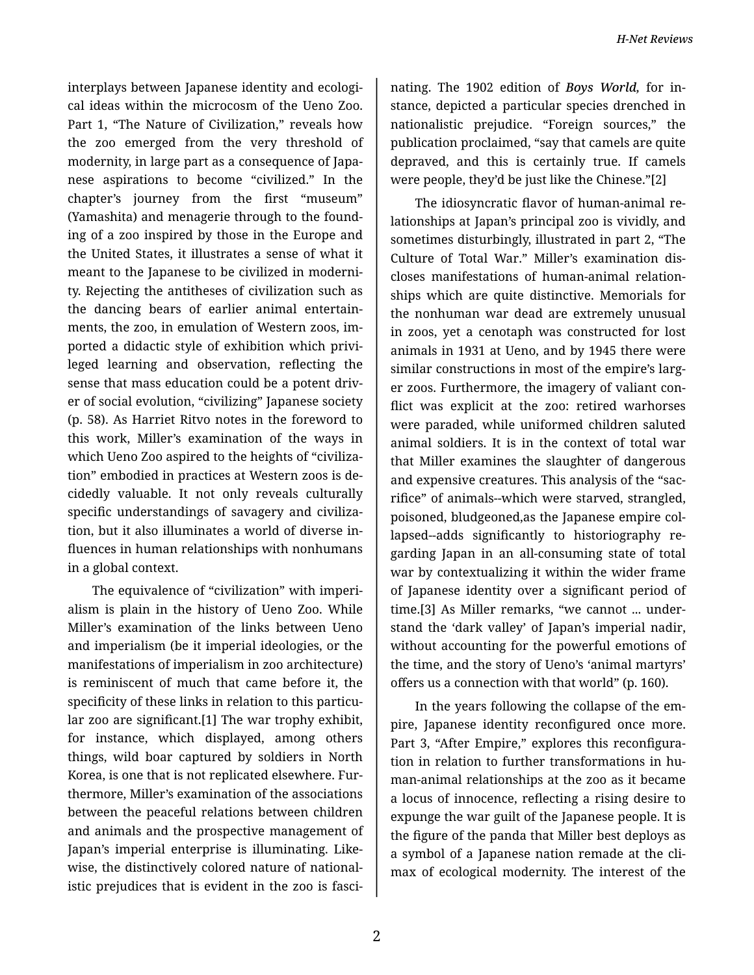interplays between Japanese identity and ecologi‐ cal ideas within the microcosm of the Ueno Zoo. Part 1, "The Nature of Civilization," reveals how the zoo emerged from the very threshold of modernity, in large part as a consequence of Japa‐ nese aspirations to become "civilized." In the chapter's journey from the first "museum" (Yamashita) and menagerie through to the found‐ ing of a zoo inspired by those in the Europe and the United States, it illustrates a sense of what it meant to the Japanese to be civilized in moderni‐ ty. Rejecting the antitheses of civilization such as the dancing bears of earlier animal entertain‐ ments, the zoo, in emulation of Western zoos, im‐ ported a didactic style of exhibition which privi‐ leged learning and observation, reflecting the sense that mass education could be a potent driv‐ er of social evolution, "civilizing" Japanese society (p. 58). As Harriet Ritvo notes in the foreword to this work, Miller's examination of the ways in which Ueno Zoo aspired to the heights of "civiliza‐ tion" embodied in practices at Western zoos is de‐ cidedly valuable. It not only reveals culturally specific understandings of savagery and civiliza‐ tion, but it also illuminates a world of diverse in‐ fluences in human relationships with nonhumans in a global context.

The equivalence of "civilization" with imperi‐ alism is plain in the history of Ueno Zoo. While Miller's examination of the links between Ueno and imperialism (be it imperial ideologies, or the manifestations of imperialism in zoo architecture) is reminiscent of much that came before it, the specificity of these links in relation to this particu‐ lar zoo are significant.[1] The war trophy exhibit, for instance, which displayed, among others things, wild boar captured by soldiers in North Korea, is one that is not replicated elsewhere. Fur‐ thermore, Miller's examination of the associations between the peaceful relations between children and animals and the prospective management of Japan's imperial enterprise is illuminating. Like‐ wise, the distinctively colored nature of nationalistic prejudices that is evident in the zoo is fasci‐

nating. The 1902 edition of *Boys World,* for in‐ stance, depicted a particular species drenched in nationalistic prejudice. "Foreign sources," the publication proclaimed, "say that camels are quite depraved, and this is certainly true. If camels were people, they'd be just like the Chinese."[2]

The idiosyncratic flavor of human-animal re‐ lationships at Japan's principal zoo is vividly, and sometimes disturbingly, illustrated in part 2, "The Culture of Total War." Miller's examination dis‐ closes manifestations of human-animal relation‐ ships which are quite distinctive. Memorials for the nonhuman war dead are extremely unusual in zoos, yet a cenotaph was constructed for lost animals in 1931 at Ueno, and by 1945 there were similar constructions in most of the empire's larg‐ er zoos. Furthermore, the imagery of valiant con‐ flict was explicit at the zoo: retired warhorses were paraded, while uniformed children saluted animal soldiers. It is in the context of total war that Miller examines the slaughter of dangerous and expensive creatures. This analysis of the "sac‐ rifice" of animals--which were starved, strangled, poisoned, bludgeoned,as the Japanese empire col‐ lapsed--adds significantly to historiography re‐ garding Japan in an all-consuming state of total war by contextualizing it within the wider frame of Japanese identity over a significant period of time.[3] As Miller remarks, "we cannot ... under‐ stand the 'dark valley' of Japan's imperial nadir, without accounting for the powerful emotions of the time, and the story of Ueno's 'animal martyrs' offers us a connection with that world" (p. 160).

In the years following the collapse of the em‐ pire, Japanese identity reconfigured once more. Part 3, "After Empire," explores this reconfiguration in relation to further transformations in hu‐ man-animal relationships at the zoo as it became a locus of innocence, reflecting a rising desire to expunge the war guilt of the Japanese people. It is the figure of the panda that Miller best deploys as a symbol of a Japanese nation remade at the cli‐ max of ecological modernity. The interest of the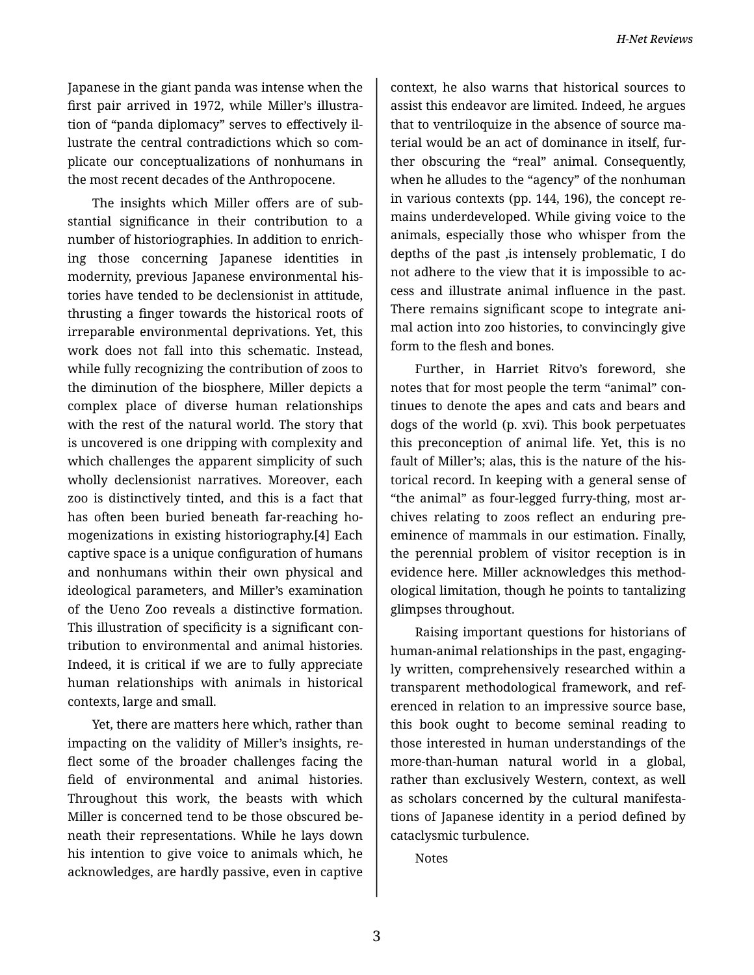Japanese in the giant panda was intense when the first pair arrived in 1972, while Miller's illustra‐ tion of "panda diplomacy" serves to effectively il‐ lustrate the central contradictions which so com‐ plicate our conceptualizations of nonhumans in the most recent decades of the Anthropocene.

The insights which Miller offers are of sub‐ stantial significance in their contribution to a number of historiographies. In addition to enrich‐ ing those concerning Japanese identities in modernity, previous Japanese environmental his‐ tories have tended to be declensionist in attitude, thrusting a finger towards the historical roots of irreparable environmental deprivations. Yet, this work does not fall into this schematic. Instead, while fully recognizing the contribution of zoos to the diminution of the biosphere, Miller depicts a complex place of diverse human relationships with the rest of the natural world. The story that is uncovered is one dripping with complexity and which challenges the apparent simplicity of such wholly declensionist narratives. Moreover, each zoo is distinctively tinted, and this is a fact that has often been buried beneath far-reaching ho‐ mogenizations in existing historiography.[4] Each captive space is a unique configuration of humans and nonhumans within their own physical and ideological parameters, and Miller's examination of the Ueno Zoo reveals a distinctive formation. This illustration of specificity is a significant con‐ tribution to environmental and animal histories. Indeed, it is critical if we are to fully appreciate human relationships with animals in historical contexts, large and small.

Yet, there are matters here which, rather than impacting on the validity of Miller's insights, re‐ flect some of the broader challenges facing the field of environmental and animal histories. Throughout this work, the beasts with which Miller is concerned tend to be those obscured be‐ neath their representations. While he lays down his intention to give voice to animals which, he acknowledges, are hardly passive, even in captive

context, he also warns that historical sources to assist this endeavor are limited. Indeed, he argues that to ventriloquize in the absence of source ma‐ terial would be an act of dominance in itself, fur‐ ther obscuring the "real" animal. Consequently, when he alludes to the "agency" of the nonhuman in various contexts (pp. 144, 196), the concept re‐ mains underdeveloped. While giving voice to the animals, especially those who whisper from the depths of the past ,is intensely problematic, I do not adhere to the view that it is impossible to ac‐ cess and illustrate animal influence in the past. There remains significant scope to integrate ani‐ mal action into zoo histories, to convincingly give form to the flesh and bones.

Further, in Harriet Ritvo's foreword, she notes that for most people the term "animal" con‐ tinues to denote the apes and cats and bears and dogs of the world (p. xvi). This book perpetuates this preconception of animal life. Yet, this is no fault of Miller's; alas, this is the nature of the his‐ torical record. In keeping with a general sense of "the animal" as four-legged furry-thing, most ar‐ chives relating to zoos reflect an enduring preeminence of mammals in our estimation. Finally, the perennial problem of visitor reception is in evidence here. Miller acknowledges this method‐ ological limitation, though he points to tantalizing glimpses throughout.

Raising important questions for historians of human-animal relationships in the past, engaging‐ ly written, comprehensively researched within a transparent methodological framework, and ref‐ erenced in relation to an impressive source base, this book ought to become seminal reading to those interested in human understandings of the more-than-human natural world in a global, rather than exclusively Western, context, as well as scholars concerned by the cultural manifesta‐ tions of Japanese identity in a period defined by cataclysmic turbulence.

Notes